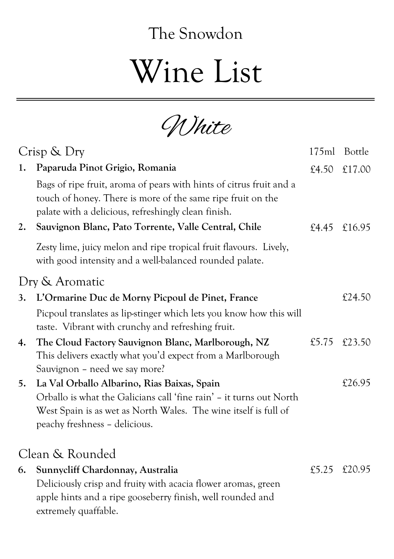## The Snowdon

## Wine List

White

| Crisp & Dry     |                                                                                                                                                                                           | 175ml | Bottle |
|-----------------|-------------------------------------------------------------------------------------------------------------------------------------------------------------------------------------------|-------|--------|
| 1.              | Paparuda Pinot Grigio, Romania                                                                                                                                                            | £4.50 | £17.00 |
|                 | Bags of ripe fruit, aroma of pears with hints of citrus fruit and a<br>touch of honey. There is more of the same ripe fruit on the<br>palate with a delicious, refreshingly clean finish. |       |        |
| 2.              | Sauvignon Blanc, Pato Torrente, Valle Central, Chile                                                                                                                                      | £4.45 | £16.95 |
|                 | Zesty lime, juicy melon and ripe tropical fruit flavours. Lively,<br>with good intensity and a well-balanced rounded palate.                                                              |       |        |
| Dry & Aromatic  |                                                                                                                                                                                           |       |        |
| 3.              | L'Ormarine Duc de Morny Picpoul de Pinet, France                                                                                                                                          |       | £24.50 |
|                 | Picpoul translates as lip-stinger which lets you know how this will<br>taste. Vibrant with crunchy and refreshing fruit.                                                                  |       |        |
| 4.              | The Cloud Factory Sauvignon Blanc, Marlborough, NZ<br>This delivers exactly what you'd expect from a Marlborough<br>Sauvignon – need we say more?                                         | £5.75 | £23.50 |
| 5.              | La Val Orballo Albarino, Rias Baixas, Spain                                                                                                                                               |       | £26.95 |
|                 | Orballo is what the Galicians call 'fine rain' - it turns out North                                                                                                                       |       |        |
|                 | West Spain is as wet as North Wales. The wine itself is full of<br>peachy freshness - delicious.                                                                                          |       |        |
| Clean & Rounded |                                                                                                                                                                                           |       |        |
| 6.              | Sunnycliff Chardonnay, Australia                                                                                                                                                          | £5.25 | £20.95 |
|                 | Deliciously crisp and fruity with acacia flower aromas, green                                                                                                                             |       |        |
|                 | apple hints and a ripe gooseberry finish, well rounded and<br>extremely quaffable.                                                                                                        |       |        |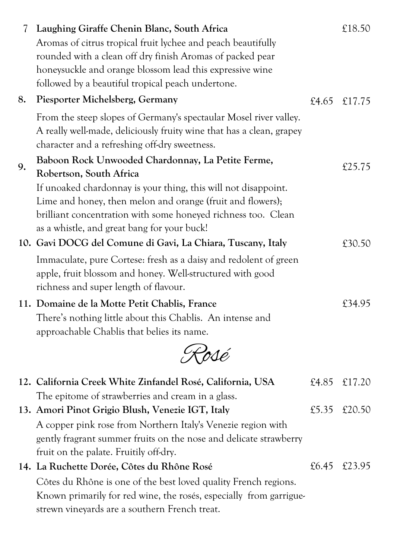| 7  | Laughing Giraffe Chenin Blanc, South Africa<br>Aromas of citrus tropical fruit lychee and peach beautifully<br>rounded with a clean off dry finish Aromas of packed pear<br>honeysuckle and orange blossom lead this expressive wine<br>followed by a beautiful tropical peach undertone. |       | £18.50       |
|----|-------------------------------------------------------------------------------------------------------------------------------------------------------------------------------------------------------------------------------------------------------------------------------------------|-------|--------------|
| 8. | Piesporter Michelsberg, Germany                                                                                                                                                                                                                                                           |       | £4.65 £17.75 |
|    | From the steep slopes of Germany's spectaular Mosel river valley.<br>A really well-made, deliciously fruity wine that has a clean, grapey<br>character and a refreshing off-dry sweetness.                                                                                                |       |              |
| 9. | Baboon Rock Unwooded Chardonnay, La Petite Ferme,                                                                                                                                                                                                                                         |       | £25.75       |
|    | Robertson, South Africa<br>If unoaked chardonnay is your thing, this will not disappoint.<br>Lime and honey, then melon and orange (fruit and flowers);<br>brilliant concentration with some honeyed richness too. Clean<br>as a whistle, and great bang for your buck!                   |       |              |
|    | 10. Gavi DOCG del Comune di Gavi, La Chiara, Tuscany, Italy                                                                                                                                                                                                                               |       | £30.50       |
|    | Immaculate, pure Cortese: fresh as a daisy and redolent of green<br>apple, fruit blossom and honey. Well-structured with good<br>richness and super length of flavour.                                                                                                                    |       |              |
|    | 11. Domaine de la Motte Petit Chablis, France<br>There's nothing little about this Chablis. An intense and<br>approachable Chablis that belies its name.                                                                                                                                  |       | £34.95       |
|    | Rosé                                                                                                                                                                                                                                                                                      |       |              |
|    | 12. California Creek White Zinfandel Rosé, California, USA<br>The epitome of strawberries and cream in a glass.                                                                                                                                                                           | £4.85 | £17.20       |
|    | 13. Amori Pinot Grigio Blush, Venezie IGT, Italy                                                                                                                                                                                                                                          | £5.35 | £20.50       |
|    | A copper pink rose from Northern Italy's Venezie region with                                                                                                                                                                                                                              |       |              |
|    | gently fragrant summer fruits on the nose and delicate strawberry<br>fruit on the palate. Fruitily off-dry.                                                                                                                                                                               |       |              |
|    | 14. La Ruchette Dorée, Côtes du Rhône Rosé                                                                                                                                                                                                                                                | £6.45 | £23.95       |
|    | Côtes du Rhône is one of the best loved quality French regions.<br>Known primarily for red wine, the rosés, especially from garrigue-<br>strewn vineyards are a southern French treat.                                                                                                    |       |              |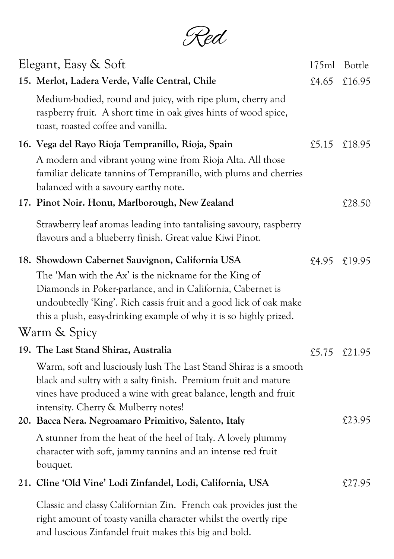Red

| Elegant, Easy & Soft |                                                                                                                                                                                                                                                                                                                                   |       | 175ml Bottle |
|----------------------|-----------------------------------------------------------------------------------------------------------------------------------------------------------------------------------------------------------------------------------------------------------------------------------------------------------------------------------|-------|--------------|
|                      | 15. Merlot, Ladera Verde, Valle Central, Chile                                                                                                                                                                                                                                                                                    | £4.65 | £16.95       |
|                      | Medium-bodied, round and juicy, with ripe plum, cherry and<br>raspberry fruit. A short time in oak gives hints of wood spice,<br>toast, roasted coffee and vanilla.                                                                                                                                                               |       |              |
|                      | 16. Vega del Rayo Rioja Tempranillo, Rioja, Spain                                                                                                                                                                                                                                                                                 |       | £5.15 £18.95 |
|                      | A modern and vibrant young wine from Rioja Alta. All those<br>familiar delicate tannins of Tempranillo, with plums and cherries<br>balanced with a savoury earthy note.                                                                                                                                                           |       |              |
|                      | 17. Pinot Noir. Honu, Marlborough, New Zealand                                                                                                                                                                                                                                                                                    |       | £28.50       |
|                      | Strawberry leaf aromas leading into tantalising savoury, raspberry<br>flavours and a blueberry finish. Great value Kiwi Pinot.                                                                                                                                                                                                    |       |              |
|                      | 18. Showdown Cabernet Sauvignon, California USA<br>The 'Man with the Ax' is the nickname for the King of<br>Diamonds in Poker-parlance, and in California, Cabernet is<br>undoubtedly 'King'. Rich cassis fruit and a good lick of oak make<br>this a plush, easy-drinking example of why it is so highly prized.<br>Warm & Spicy | £4.95 | £19.95       |
|                      | 19. The Last Stand Shiraz, Australia                                                                                                                                                                                                                                                                                              |       | £5.75 £21.95 |
|                      | Warm, soft and lusciously lush The Last Stand Shiraz is a smooth<br>black and sultry with a salty finish. Premium fruit and mature<br>vines have produced a wine with great balance, length and fruit<br>intensity. Cherry & Mulberry notes!                                                                                      |       |              |
|                      | 20. Bacca Nera. Negroamaro Primitivo, Salento, Italy                                                                                                                                                                                                                                                                              |       | £23.95       |
|                      | A stunner from the heat of the heel of Italy. A lovely plummy<br>character with soft, jammy tannins and an intense red fruit<br>bouquet.                                                                                                                                                                                          |       |              |
|                      | 21. Cline 'Old Vine' Lodi Zinfandel, Lodi, California, USA                                                                                                                                                                                                                                                                        |       | £27.95       |
|                      | Classic and classy Californian Zin. French oak provides just the<br>right amount of toasty vanilla character whilst the overtly ripe                                                                                                                                                                                              |       |              |

and luscious Zinfandel fruit makes this big and bold.